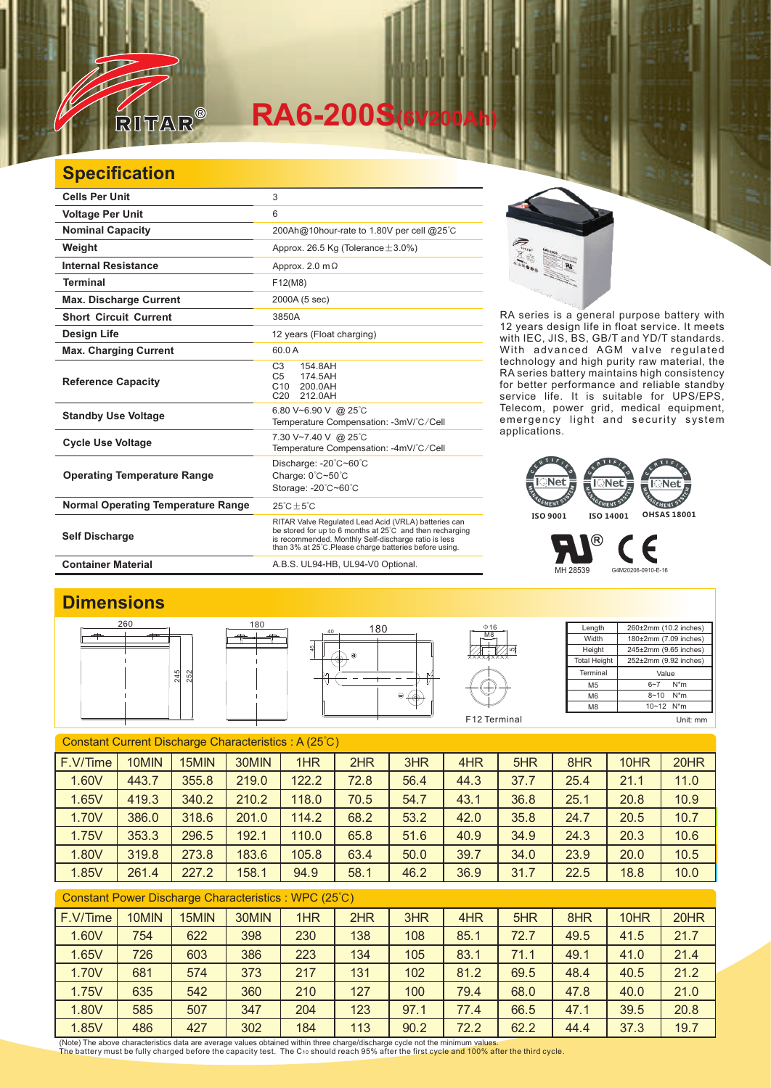

# **RA6-200S(6V200Ah)**

## **Specification**

| <b>Cells Per Unit</b>                     | 3                                                                                                                                                                                                                                  |
|-------------------------------------------|------------------------------------------------------------------------------------------------------------------------------------------------------------------------------------------------------------------------------------|
| <b>Voltage Per Unit</b>                   | 6                                                                                                                                                                                                                                  |
| <b>Nominal Capacity</b>                   | 200Ah@10hour-rate to 1.80V per cell @25°C                                                                                                                                                                                          |
| Weight                                    | Approx. 26.5 Kg (Tolerance $\pm$ 3.0%)                                                                                                                                                                                             |
| <b>Internal Resistance</b>                | Approx. 2.0 $m\Omega$                                                                                                                                                                                                              |
| <b>Terminal</b>                           | F12(M8)                                                                                                                                                                                                                            |
| <b>Max. Discharge Current</b>             | 2000A (5 sec)                                                                                                                                                                                                                      |
| <b>Short Circuit Current</b>              | 3850A                                                                                                                                                                                                                              |
| <b>Design Life</b>                        | 12 years (Float charging)                                                                                                                                                                                                          |
| <b>Max. Charging Current</b>              | 60.0 A                                                                                                                                                                                                                             |
| <b>Reference Capacity</b>                 | C <sub>3</sub><br>154.8AH<br>C <sub>5</sub><br>174.5AH<br>C <sub>10</sub><br>200.0AH<br>C20<br>212 0AH                                                                                                                             |
| <b>Standby Use Voltage</b>                | 6.80 V~6.90 V @ 25°C<br>Temperature Compensation: -3mV/°C/Cell                                                                                                                                                                     |
| <b>Cycle Use Voltage</b>                  | 7.30 V~7.40 V @ 25°C<br>Temperature Compensation: -4mV/°C/Cell                                                                                                                                                                     |
| <b>Operating Temperature Range</b>        | Discharge: -20°C~60°C<br>Charge: 0°C~50°C<br>Storage: -20°C~60°C                                                                                                                                                                   |
| <b>Normal Operating Temperature Range</b> | $25^{\circ}$ C + 5 $^{\circ}$ C                                                                                                                                                                                                    |
| <b>Self Discharge</b>                     | RITAR Valve Regulated Lead Acid (VRLA) batteries can<br>be stored for up to 6 months at 25°C and then recharging<br>is recommended. Monthly Self-discharge ratio is less<br>than 3% at 25°C. Please charge batteries before using. |
| <b>Container Material</b>                 | A.B.S. UL94-HB, UL94-V0 Optional.                                                                                                                                                                                                  |



RA series is a general purpose battery with 12 years design life in float service. It meets with IEC, JIS, BS, GB/T and YD/T standards. With advanced AGM valve regulated technology and high purity raw material, the RA series battery maintains high consistency for better performance and reliable standby service life. It is suitable for UPS/EPS, Telecom, power grid, medical equipment, emergency light and security system applications.

#### **Net Net**  $\overline{\phantom{a}}$ Net GEMENT SY GEMENT SYS GEMENT S **ISO 9001 ISO 14001 OHSAS 18001**

MH 28539 G4M20206-0910-E-16

Є

 $^\circledR$ 

### **Dimensions**



| Constant Current Discharge Characteristics: A (25°C) |       |       |       |       |      |      |      |      |      |      |      |
|------------------------------------------------------|-------|-------|-------|-------|------|------|------|------|------|------|------|
| F.V/Time                                             | 10MIN | 15MIN | 30MIN | 1HR   | 2HR  | 3HR  | 4HR  | 5HR  | 8HR  | 10HR | 20HR |
| 1.60V                                                | 443.7 | 355.8 | 219.0 | 122.2 | 72.8 | 56.4 | 44.3 | 37.7 | 25.4 | 21.1 | 11.0 |
| 1.65V                                                | 419.3 | 340.2 | 210.2 | 118.0 | 70.5 | 54.7 | 43.1 | 36.8 | 25.1 | 20.8 | 10.9 |
| 1.70V                                                | 386.0 | 318.6 | 201.0 | 114.2 | 68.2 | 53.2 | 42.0 | 35.8 | 24.7 | 20.5 | 10.7 |
| 1.75V                                                | 353.3 | 296.5 | 192.1 | 110.0 | 65.8 | 51.6 | 40.9 | 34.9 | 24.3 | 20.3 | 10.6 |
| 1.80V                                                | 319.8 | 273.8 | 183.6 | 105.8 | 63.4 | 50.0 | 39.7 | 34.0 | 23.9 | 20.0 | 10.5 |
| 1.85V                                                | 261.4 | 227.2 | 158.1 | 94.9  | 58.1 | 46.2 | 36.9 | 31.7 | 22.5 | 18.8 | 10.0 |
|                                                      |       |       |       |       |      |      |      |      |      |      |      |

| Constant Power Discharge Characteristics : WPC (25°C) |  |  |
|-------------------------------------------------------|--|--|
|-------------------------------------------------------|--|--|

| F.V/Time | <b>IOMIN</b> | 15MIN | 30MIN | 1HR | 2HR | 3HR  | 4HR  | 5HR  | 8HR  | 10HR | 20HR |
|----------|--------------|-------|-------|-----|-----|------|------|------|------|------|------|
| 1.60V    | 754          | 622   | 398   | 230 | 138 | 108  | 85.1 | 72.7 | 49.5 | 41.5 | 21.7 |
| 1.65V    | 726          | 603   | 386   | 223 | 134 | 105  | 83.1 | 71.1 | 49.1 | 41.0 | 21.4 |
| 1.70V    | 681          | 574   | 373   | 217 | 131 | 102  | 81.2 | 69.5 | 48.4 | 40.5 | 21.2 |
| 1.75V    | 635          | 542   | 360   | 210 | 127 | 100  | 79.4 | 68.0 | 47.8 | 40.0 | 21.0 |
| 1.80V    | 585          | 507   | 347   | 204 | 123 | 97.1 | 77.4 | 66.5 | 47.1 | 39.5 | 20.8 |
| 1.85V    | 486          | 427   | 302   | 184 | 113 | 90.2 | 72.2 | 62.2 | 44.4 | 37.3 | 19.7 |

(Note) The above characteristics data are average values obtained within three charge/discharge cycle not the minimum values.<br>The battery must be fully charged before the capacity test. The C10 should reach 95% after the